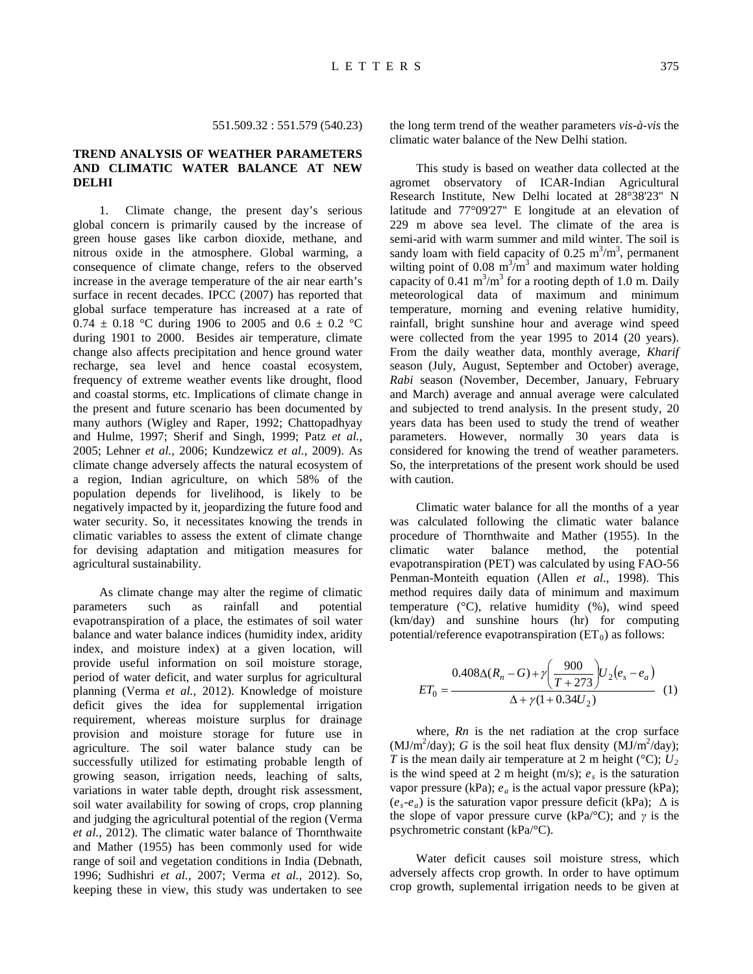551.509.32 : 551.579 (540.23)

# **TREND ANALYSIS OF WEATHER PARAMETERS AND CLIMATIC WATER BALANCE AT NEW DELHI**

1. Climate change, the present day's serious global concern is primarily caused by the increase of green house gases like carbon dioxide, methane, and nitrous oxide in the atmosphere. Global warming, a consequence of climate change, refers to the observed increase in the average temperature of the air near earth's surface in recent decades. IPCC (2007) has reported that global surface temperature has increased at a rate of 0.74  $\pm$  0.18 °C during 1906 to 2005 and 0.6  $\pm$  0.2 °C during 1901 to 2000. Besides air temperature, climate change also affects precipitation and hence ground water recharge, sea level and hence coastal ecosystem, frequency of extreme weather events like drought, flood and coastal storms, etc. Implications of climate change in the present and future scenario has been documented by many authors (Wigley and Raper, 1992; Chattopadhyay and Hulme, 1997; Sherif and Singh, 1999; Patz *et al.*, 2005; Lehner *et al.*, 2006; Kundzewicz *et al.*, 2009). As climate change adversely affects the natural ecosystem of a region, Indian agriculture, on which 58% of the population depends for livelihood, is likely to be negatively impacted by it, jeopardizing the future food and water security. So, it necessitates knowing the trends in climatic variables to assess the extent of climate change for devising adaptation and mitigation measures for agricultural sustainability.

As climate change may alter the regime of climatic parameters such as rainfall and potential evapotranspiration of a place, the estimates of soil water balance and water balance indices (humidity index, aridity index, and moisture index) at a given location, will provide useful information on soil moisture storage, period of water deficit, and water surplus for agricultural planning (Verma *et al.*, 2012). Knowledge of moisture deficit gives the idea for supplemental irrigation requirement, whereas moisture surplus for drainage provision and moisture storage for future use in agriculture. The soil water balance study can be successfully utilized for estimating probable length of growing season, irrigation needs, leaching of salts, variations in water table depth, drought risk assessment, soil water availability for sowing of crops, crop planning and judging the agricultural potential of the region (Verma *et al.*, 2012). The climatic water balance of Thornthwaite and Mather (1955) has been commonly used for wide range of soil and vegetation conditions in India (Debnath, 1996; Sudhishri *et al.*, 2007; Verma *et al.*, 2012). So, keeping these in view, this study was undertaken to see the long term trend of the weather parameters *vis-à-vis* the climatic water balance of the New Delhi station.

This study is based on weather data collected at the agromet observatory of ICAR-Indian Agricultural Research Institute, New Delhi located at 28°38'23'' N latitude and 77°09'27'' E longitude at an elevation of 229 m above sea level. The climate of the area is semi-arid with warm summer and mild winter. The soil is sandy loam with field capacity of 0.25  $m<sup>3</sup>/m<sup>3</sup>$ , permanent wilting point of 0.08  $m^3/m^3$  and maximum water holding capacity of 0.41  $m^3/m^3$  for a rooting depth of 1.0 m. Daily meteorological data of maximum and minimum temperature, morning and evening relative humidity, rainfall, bright sunshine hour and average wind speed were collected from the year 1995 to 2014 (20 years). From the daily weather data, monthly average, *Kharif* season (July, August, September and October) average, *Rabi* season (November, December, January, February and March) average and annual average were calculated and subjected to trend analysis. In the present study, 20 years data has been used to study the trend of weather parameters. However, normally 30 years data is considered for knowing the trend of weather parameters. So, the interpretations of the present work should be used with caution.

Climatic water balance for all the months of a year was calculated following the climatic water balance procedure of Thornthwaite and Mather (1955). In the climatic water balance method, the potential climatic water balance method, the potential evapotranspiration (PET) was calculated by using FAO-56 Penman-Monteith equation (Allen *et al*., 1998). This method requires daily data of minimum and maximum temperature  $(^{\circ}C)$ , relative humidity  $(^{\circ}C)$ , wind speed (km/day) and sunshine hours (hr) for computing potential/reference evapotranspiration  $(ET_0)$  as follows:

$$
ET_0 = \frac{0.408\Delta(R_n - G) + \gamma \left(\frac{900}{T + 273}\right) U_2 (e_s - e_a)}{\Delta + \gamma (1 + 0.34 U_2)} \tag{1}
$$

where, *Rn* is the net radiation at the crop surface (MJ/m<sup>2</sup>/day); *G* is the soil heat flux density (MJ/m<sup>2</sup>/day); *T* is the mean daily air temperature at 2 m height ( $^{\circ}$ C);  $U_2$ is the wind speed at 2 m height (m/s);  $e_s$  is the saturation vapor pressure (kPa);  $e_a$  is the actual vapor pressure (kPa);  $(e_s-e_a)$  is the saturation vapor pressure deficit (kPa);  $\Delta$  is the slope of vapor pressure curve (kPa/ $\textdegree$ C); and *γ* is the psychrometric constant (kPa/°C).

Water deficit causes soil moisture stress, which adversely affects crop growth. In order to have optimum crop growth, suplemental irrigation needs to be given at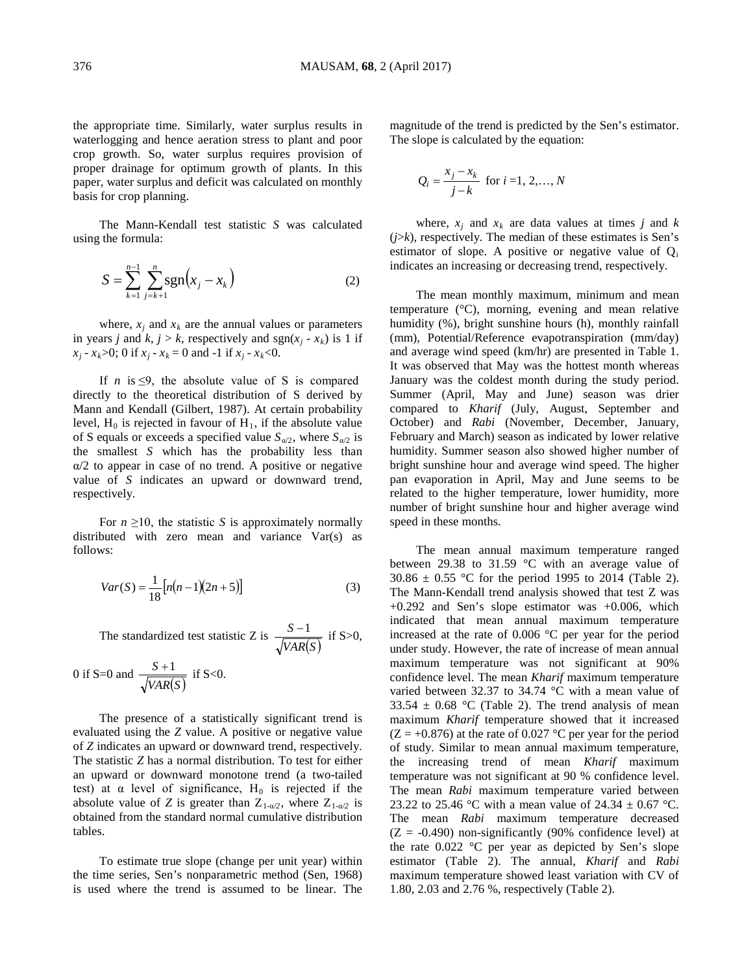the appropriate time. Similarly, water surplus results in waterlogging and hence aeration stress to plant and poor crop growth. So, water surplus requires provision of proper drainage for optimum growth of plants. In this paper, water surplus and deficit was calculated on monthly basis for crop planning.

The Mann-Kendall test statistic *S* was calculated using the formula:

$$
S = \sum_{k=1}^{n-1} \sum_{j=k+1}^{n} \text{sgn}(x_j - x_k)
$$
 (2)

where,  $x_i$  and  $x_k$  are the annual values or parameters in years *j* and *k*, *j* > *k*, respectively and sgn( $x_i$  -  $x_k$ ) is 1 if  $x_i - x_k > 0$ ; 0 if  $x_i - x_k = 0$  and  $-1$  if  $x_i - x_k < 0$ .

If  $n$  is  $\leq 9$ , the absolute value of S is compared directly to the theoretical distribution of S derived by Mann and Kendall (Gilbert, 1987). At certain probability level,  $H_0$  is rejected in favour of  $H_1$ , if the absolute value of S equals or exceeds a specified value  $S_{\alpha/2}$ , where  $S_{\alpha/2}$  is the smallest *S* which has the probability less than α/2 to appear in case of no trend. A positive or negative value of *S* indicates an upward or downward trend, respectively.

For  $n \geq 10$ , the statistic *S* is approximately normally distributed with zero mean and variance Var(s) as follows:

$$
Var(S) = \frac{1}{18} [n(n-1)(2n+5)]
$$
 (3)

The standardized test statistic Z is *VAR*(*S*)  $\frac{S-1}{\sqrt{S}}$  if S>0,

0 if S=0 and 
$$
\frac{S+1}{\sqrt{VAR(S)}}
$$
 if S<0.

The presence of a statistically significant trend is evaluated using the *Z* value. A positive or negative value of *Z* indicates an upward or downward trend, respectively. The statistic *Z* has a normal distribution. To test for either an upward or downward monotone trend (a two-tailed test) at  $\alpha$  level of significance, H<sub>0</sub> is rejected if the absolute value of *Z* is greater than  $Z_{1-\alpha/2}$ , where  $Z_{1-\alpha/2}$  is obtained from the standard normal cumulative distribution tables.

To estimate true slope (change per unit year) within the time series, Sen's nonparametric method (Sen, 1968) is used where the trend is assumed to be linear. The

magnitude of the trend is predicted by the Sen's estimator. The slope is calculated by the equation:

$$
Q_i = \frac{x_j - x_k}{j - k}
$$
 for  $i = 1, 2, ..., N$ 

where,  $x_i$  and  $x_k$  are data values at times *j* and *k* (*j*>*k*), respectively. The median of these estimates is Sen's estimator of slope. A positive or negative value of  $Q_i$ indicates an increasing or decreasing trend, respectively.

The mean monthly maximum, minimum and mean temperature (°C), morning, evening and mean relative humidity (%), bright sunshine hours (h), monthly rainfall (mm), Potential/Reference evapotranspiration (mm/day) and average wind speed (km/hr) are presented in Table 1. It was observed that May was the hottest month whereas January was the coldest month during the study period. Summer (April, May and June) season was drier compared to *Kharif* (July, August, September and October) and *Rabi* (November, December, January, February and March) season as indicated by lower relative humidity. Summer season also showed higher number of bright sunshine hour and average wind speed. The higher pan evaporation in April, May and June seems to be related to the higher temperature, lower humidity, more number of bright sunshine hour and higher average wind speed in these months.

The mean annual maximum temperature ranged between 29.38 to 31.59 °C with an average value of  $30.86 \pm 0.55$  °C for the period 1995 to 2014 (Table 2). The Mann-Kendall trend analysis showed that test Z was  $+0.292$  and Sen's slope estimator was  $+0.006$ , which indicated that mean annual maximum temperature increased at the rate of 0.006 °C per year for the period under study. However, the rate of increase of mean annual maximum temperature was not significant at 90% confidence level. The mean *Kharif* maximum temperature varied between 32.37 to 34.74 °C with a mean value of 33.54  $\pm$  0.68 °C (Table 2). The trend analysis of mean maximum *Kharif* temperature showed that it increased  $(Z = +0.876)$  at the rate of 0.027 °C per year for the period of study. Similar to mean annual maximum temperature, the increasing trend of mean *Kharif* maximum temperature was not significant at 90 % confidence level. The mean *Rabi* maximum temperature varied between 23.22 to 25.46 °C with a mean value of 24.34  $\pm$  0.67 °C. The mean *Rabi* maximum temperature decreased  $(Z = -0.490)$  non-significantly (90% confidence level) at the rate  $0.022$  °C per year as depicted by Sen's slope estimator (Table 2). The annual, *Kharif* and *Rabi* maximum temperature showed least variation with CV of 1.80, 2.03 and 2.76 %, respectively (Table 2).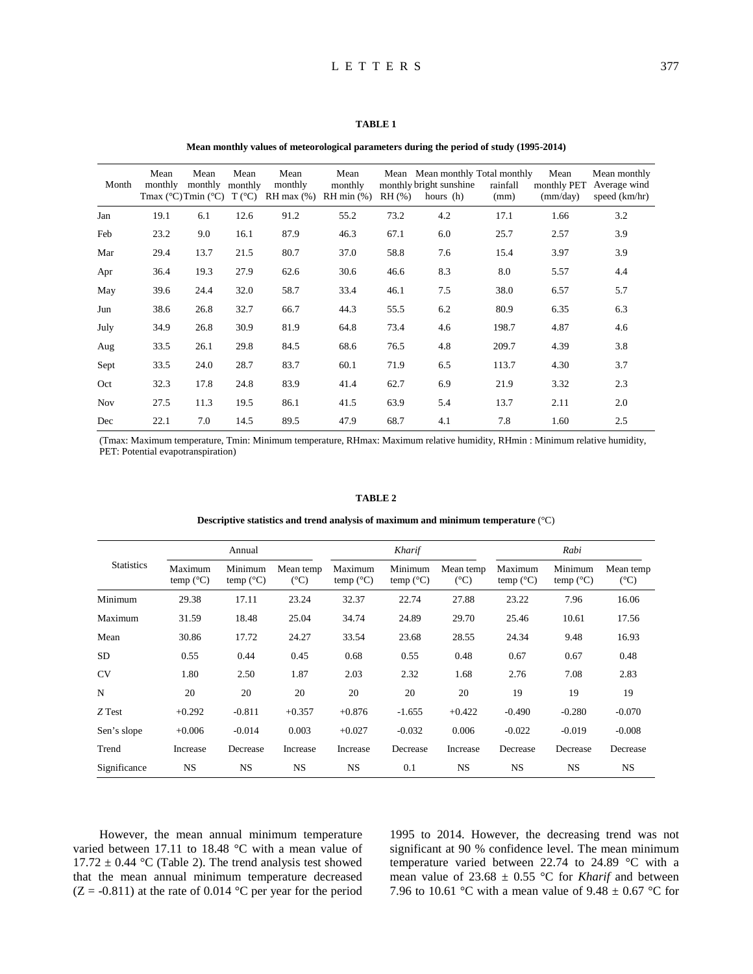### **Mean monthly values of meteorological parameters during the period of study (1995-2014)**

| Month      | Mean<br>monthly | Mean<br>monthly<br>Tmax $(^{\circ}C)$ Tmin $(^{\circ}C)$ | Mean<br>monthly<br>$T({}^{\circ}C)$ | Mean<br>monthly<br>$RH$ max $(\%)$ | Mean<br>monthly<br>$RH$ min $(\%)$ | $RH$ $(\% )$ | Mean Mean monthly Total monthly<br>monthly bright sunshine<br>hours (h) | rainfall<br>(mm) | Mean<br>monthly PET<br>(mm/day) | Mean monthly<br>Average wind<br>speed (km/hr) |
|------------|-----------------|----------------------------------------------------------|-------------------------------------|------------------------------------|------------------------------------|--------------|-------------------------------------------------------------------------|------------------|---------------------------------|-----------------------------------------------|
| Jan        | 19.1            | 6.1                                                      | 12.6                                | 91.2                               | 55.2                               | 73.2         | 4.2                                                                     | 17.1             | 1.66                            | 3.2                                           |
| Feb        | 23.2            | 9.0                                                      | 16.1                                | 87.9                               | 46.3                               | 67.1         | 6.0                                                                     | 25.7             | 2.57                            | 3.9                                           |
| Mar        | 29.4            | 13.7                                                     | 21.5                                | 80.7                               | 37.0                               | 58.8         | 7.6                                                                     | 15.4             | 3.97                            | 3.9                                           |
| Apr        | 36.4            | 19.3                                                     | 27.9                                | 62.6                               | 30.6                               | 46.6         | 8.3                                                                     | 8.0              | 5.57                            | 4.4                                           |
| May        | 39.6            | 24.4                                                     | 32.0                                | 58.7                               | 33.4                               | 46.1         | 7.5                                                                     | 38.0             | 6.57                            | 5.7                                           |
| Jun        | 38.6            | 26.8                                                     | 32.7                                | 66.7                               | 44.3                               | 55.5         | 6.2                                                                     | 80.9             | 6.35                            | 6.3                                           |
| July       | 34.9            | 26.8                                                     | 30.9                                | 81.9                               | 64.8                               | 73.4         | 4.6                                                                     | 198.7            | 4.87                            | 4.6                                           |
| Aug        | 33.5            | 26.1                                                     | 29.8                                | 84.5                               | 68.6                               | 76.5         | 4.8                                                                     | 209.7            | 4.39                            | 3.8                                           |
| Sept       | 33.5            | 24.0                                                     | 28.7                                | 83.7                               | 60.1                               | 71.9         | 6.5                                                                     | 113.7            | 4.30                            | 3.7                                           |
| Oct        | 32.3            | 17.8                                                     | 24.8                                | 83.9                               | 41.4                               | 62.7         | 6.9                                                                     | 21.9             | 3.32                            | 2.3                                           |
| <b>Nov</b> | 27.5            | 11.3                                                     | 19.5                                | 86.1                               | 41.5                               | 63.9         | 5.4                                                                     | 13.7             | 2.11                            | 2.0                                           |
| Dec        | 22.1            | 7.0                                                      | 14.5                                | 89.5                               | 47.9                               | 68.7         | 4.1                                                                     | 7.8              | 1.60                            | 2.5                                           |

(Tmax: Maximum temperature, Tmin: Minimum temperature, RHmax: Maximum relative humidity, RHmin : Minimum relative humidity, PET: Potential evapotranspiration)

#### **TABLE 2**

**Descriptive statistics and trend analysis of maximum and minimum temperature** (°C)

| <b>Statistics</b> |                               | Annual                        |                            |                               | Kharif                        |                            | Rabi                          |                               |                            |
|-------------------|-------------------------------|-------------------------------|----------------------------|-------------------------------|-------------------------------|----------------------------|-------------------------------|-------------------------------|----------------------------|
|                   | Maximum<br>temp $(^{\circ}C)$ | Minimum<br>temp $(^{\circ}C)$ | Mean temp<br>$(^{\circ}C)$ | Maximum<br>temp $(^{\circ}C)$ | Minimum<br>temp $(^{\circ}C)$ | Mean temp<br>$(^{\circ}C)$ | Maximum<br>temp $(^{\circ}C)$ | Minimum<br>temp $(^{\circ}C)$ | Mean temp<br>$(^{\circ}C)$ |
| Minimum           | 29.38                         | 17.11                         | 23.24                      | 32.37                         | 22.74                         | 27.88                      | 23.22                         | 7.96                          | 16.06                      |
| Maximum           | 31.59                         | 18.48                         | 25.04                      | 34.74                         | 24.89                         | 29.70                      | 25.46                         | 10.61                         | 17.56                      |
| Mean              | 30.86                         | 17.72                         | 24.27                      | 33.54                         | 23.68                         | 28.55                      | 24.34                         | 9.48                          | 16.93                      |
| <b>SD</b>         | 0.55                          | 0.44                          | 0.45                       | 0.68                          | 0.55                          | 0.48                       | 0.67                          | 0.67                          | 0.48                       |
| <b>CV</b>         | 1.80                          | 2.50                          | 1.87                       | 2.03                          | 2.32                          | 1.68                       | 2.76                          | 7.08                          | 2.83                       |
| N                 | 20                            | 20                            | 20                         | 20                            | 20                            | 20                         | 19                            | 19                            | 19                         |
| Z Test            | $+0.292$                      | $-0.811$                      | $+0.357$                   | $+0.876$                      | $-1.655$                      | $+0.422$                   | $-0.490$                      | $-0.280$                      | $-0.070$                   |
| Sen's slope       | $+0.006$                      | $-0.014$                      | 0.003                      | $+0.027$                      | $-0.032$                      | 0.006                      | $-0.022$                      | $-0.019$                      | $-0.008$                   |
| Trend             | Increase                      | Decrease                      | Increase                   | Increase                      | Decrease                      | Increase                   | Decrease                      | Decrease                      | Decrease                   |
| Significance      | <b>NS</b>                     | <b>NS</b>                     | <b>NS</b>                  | <b>NS</b>                     | 0.1                           | NS.                        | <b>NS</b>                     | NS                            | <b>NS</b>                  |

However, the mean annual minimum temperature varied between 17.11 to 18.48 °C with a mean value of  $17.72 \pm 0.44$  °C (Table 2). The trend analysis test showed that the mean annual minimum temperature decreased  $(Z = -0.811)$  at the rate of 0.014 °C per year for the period

1995 to 2014. However, the decreasing trend was not significant at 90 % confidence level. The mean minimum temperature varied between 22.74 to 24.89 °C with a mean value of  $23.68 \pm 0.55$  °C for *Kharif* and between 7.96 to 10.61 °C with a mean value of 9.48  $\pm$  0.67 °C for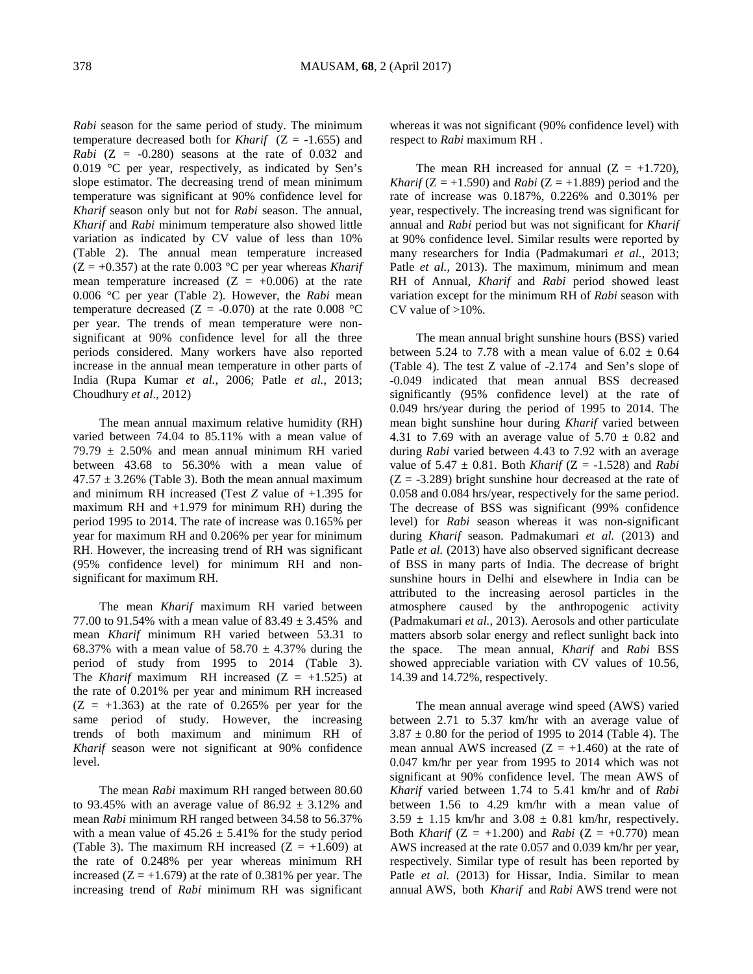*Rabi* season for the same period of study. The minimum temperature decreased both for *Kharif*  $(Z = -1.655)$  and *Rabi*  $(Z = -0.280)$  seasons at the rate of 0.032 and 0.019 °C per year, respectively, as indicated by Sen's slope estimator. The decreasing trend of mean minimum temperature was significant at 90% confidence level for *Kharif* season only but not for *Rabi* season. The annual, *Kharif* and *Rabi* minimum temperature also showed little variation as indicated by CV value of less than 10% (Table 2). The annual mean temperature increased  $(Z = +0.357)$  at the rate 0.003 °C per year whereas *Kharif* mean temperature increased  $(Z = +0.006)$  at the rate 0.006 °C per year (Table 2). However, the *Rabi* mean temperature decreased ( $Z = -0.070$ ) at the rate 0.008 °C per year. The trends of mean temperature were nonsignificant at 90% confidence level for all the three periods considered. Many workers have also reported increase in the annual mean temperature in other parts of India (Rupa Kumar *et al.*, 2006; Patle *et al.*, 2013; Choudhury *et al*., 2012)

The mean annual maximum relative humidity (RH) varied between 74.04 to 85.11% with a mean value of 79.79  $\pm$  2.50% and mean annual minimum RH varied between 43.68 to 56.30% with a mean value of  $47.57 \pm 3.26\%$  (Table 3). Both the mean annual maximum and minimum RH increased (Test *Z* value of +1.395 for maximum RH and +1.979 for minimum RH) during the period 1995 to 2014. The rate of increase was 0.165% per year for maximum RH and 0.206% per year for minimum RH. However, the increasing trend of RH was significant (95% confidence level) for minimum RH and nonsignificant for maximum RH.

The mean *Kharif* maximum RH varied between 77.00 to 91.54% with a mean value of  $83.49 \pm 3.45$ % and mean *Kharif* minimum RH varied between 53.31 to 68.37% with a mean value of  $58.70 \pm 4.37$ % during the period of study from 1995 to 2014 (Table 3). The *Kharif* maximum RH increased  $(Z = +1.525)$  at the rate of 0.201% per year and minimum RH increased  $(Z = +1.363)$  at the rate of 0.265% per year for the same period of study. However, the increasing trends of both maximum and minimum RH of *Kharif* season were not significant at 90% confidence level.

The mean *Rabi* maximum RH ranged between 80.60 to 93.45% with an average value of  $86.92 \pm 3.12$ % and mean *Rabi* minimum RH ranged between 34.58 to 56.37% with a mean value of  $45.26 \pm 5.41\%$  for the study period (Table 3). The maximum RH increased  $(Z = +1.609)$  at the rate of 0.248% per year whereas minimum RH increased  $(Z = +1.679)$  at the rate of 0.381% per year. The increasing trend of *Rabi* minimum RH was significant

whereas it was not significant (90% confidence level) with respect to *Rabi* maximum RH .

The mean RH increased for annual  $(Z = +1.720)$ , *Kharif* ( $Z = +1.590$ ) and *Rabi* ( $Z = +1.889$ ) period and the rate of increase was 0.187%, 0.226% and 0.301% per year, respectively. The increasing trend was significant for annual and *Rabi* period but was not significant for *Kharif* at 90% confidence level. Similar results were reported by many researchers for India (Padmakumari *et al.*, 2013; Patle *et al.*, 2013). The maximum, minimum and mean RH of Annual, *Kharif* and *Rabi* period showed least variation except for the minimum RH of *Rabi* season with CV value of  $>10\%$ .

The mean annual bright sunshine hours (BSS) varied between 5.24 to 7.78 with a mean value of  $6.02 \pm 0.64$ (Table 4). The test Z value of -2.174 and Sen's slope of -0.049 indicated that mean annual BSS decreased significantly (95% confidence level) at the rate of 0.049 hrs/year during the period of 1995 to 2014. The mean bight sunshine hour during *Kharif* varied between 4.31 to 7.69 with an average value of  $5.70 \pm 0.82$  and during *Rabi* varied between 4.43 to 7.92 with an average value of  $5.47 \pm 0.81$ . Both *Kharif* (Z = -1.528) and *Rabi*  $(Z = -3.289)$  bright sunshine hour decreased at the rate of 0.058 and 0.084 hrs/year, respectively for the same period. The decrease of BSS was significant (99% confidence level) for *Rabi* season whereas it was non-significant during *Kharif* season. Padmakumari *et al.* (2013) and Patle *et al.* (2013) have also observed significant decrease of BSS in many parts of India. The decrease of bright sunshine hours in Delhi and elsewhere in India can be attributed to the increasing aerosol particles in the atmosphere caused by the anthropogenic activity (Padmakumari *et al.*, 2013). Aerosols and other particulate matters absorb solar energy and reflect sunlight back into the space. The mean annual, *Kharif* and *Rabi* BSS showed appreciable variation with CV values of 10.56, 14.39 and 14.72%, respectively.

The mean annual average wind speed (AWS) varied between 2.71 to 5.37 km/hr with an average value of  $3.87 \pm 0.80$  for the period of 1995 to 2014 (Table 4). The mean annual AWS increased  $(Z = +1.460)$  at the rate of 0.047 km/hr per year from 1995 to 2014 which was not significant at 90% confidence level. The mean AWS of *Kharif* varied between 1.74 to 5.41 km/hr and of *Rabi* between 1.56 to 4.29 km/hr with a mean value of  $3.59 \pm 1.15$  km/hr and  $3.08 \pm 0.81$  km/hr, respectively. Both *Kharif* ( $Z = +1.200$ ) and *Rabi* ( $Z = +0.770$ ) mean AWS increased at the rate 0.057 and 0.039 km/hr per year, respectively. Similar type of result has been reported by Patle *et al.* (2013) for Hissar, India. Similar to mean annual AWS, both *Kharif* and *Rabi* AWS trend were not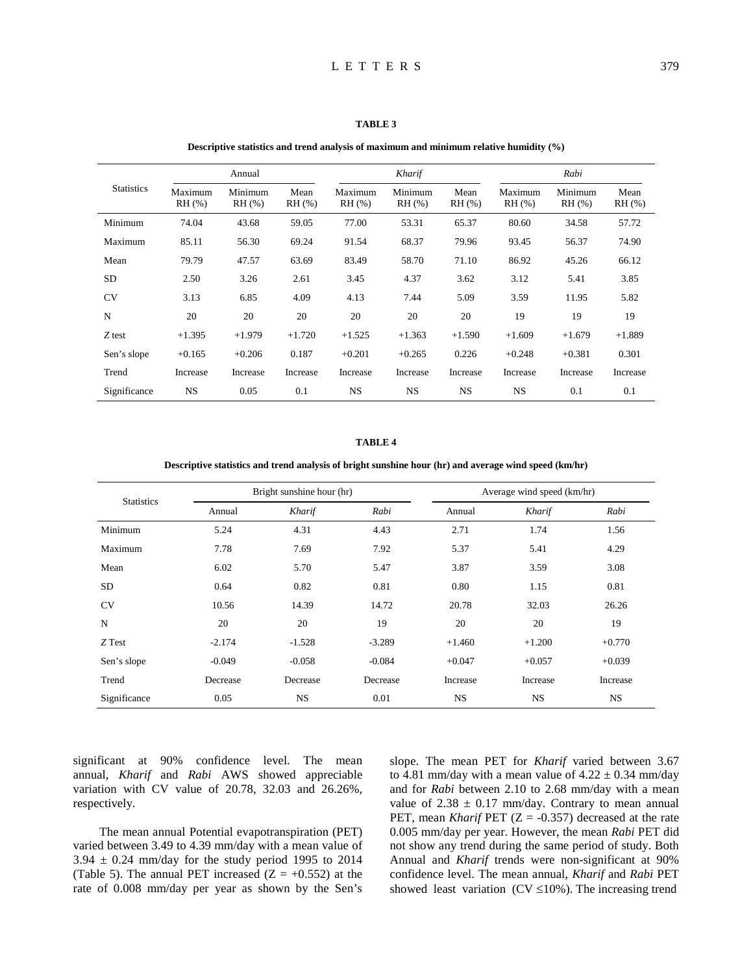### **TABLE 3**

#### **Descriptive statistics and trend analysis of maximum and minimum relative humidity (%)**

|                   |                     | Annual            |                |                         | Kharif                  |                     | Rabi             |                  |                  |
|-------------------|---------------------|-------------------|----------------|-------------------------|-------------------------|---------------------|------------------|------------------|------------------|
| <b>Statistics</b> | Maximum<br>$RH$ (%) | Minimum<br>RH (%) | Mean<br>RH (%) | Maximum<br>$RH$ $(\% )$ | Minimum<br>$RH$ $(\% )$ | Mean<br>$RH$ $(\%)$ | Maximum<br>RH(%) | Minimum<br>RH(%) | Mean<br>$RH$ $%$ |
| Minimum           | 74.04               | 43.68             | 59.05          | 77.00                   | 53.31                   | 65.37               | 80.60            | 34.58            | 57.72            |
| Maximum           | 85.11               | 56.30             | 69.24          | 91.54                   | 68.37                   | 79.96               | 93.45            | 56.37            | 74.90            |
| Mean              | 79.79               | 47.57             | 63.69          | 83.49                   | 58.70                   | 71.10               | 86.92            | 45.26            | 66.12            |
| <b>SD</b>         | 2.50                | 3.26              | 2.61           | 3.45                    | 4.37                    | 3.62                | 3.12             | 5.41             | 3.85             |
| <b>CV</b>         | 3.13                | 6.85              | 4.09           | 4.13                    | 7.44                    | 5.09                | 3.59             | 11.95            | 5.82             |
| N                 | 20                  | 20                | 20             | 20                      | 20                      | 20                  | 19               | 19               | 19               |
| Z test            | $+1.395$            | $+1.979$          | $+1.720$       | $+1.525$                | $+1.363$                | $+1.590$            | $+1.609$         | $+1.679$         | $+1.889$         |
| Sen's slope       | $+0.165$            | $+0.206$          | 0.187          | $+0.201$                | $+0.265$                | 0.226               | $+0.248$         | $+0.381$         | 0.301            |
| Trend             | Increase            | Increase          | Increase       | Increase                | Increase                | Increase            | Increase         | Increase         | Increase         |
| Significance      | <b>NS</b>           | 0.05              | 0.1            | <b>NS</b>               | <b>NS</b>               | <b>NS</b>           | <b>NS</b>        | 0.1              | 0.1              |

# **TABLE 4**

# **Descriptive statistics and trend analysis of bright sunshine hour (hr) and average wind speed (km/hr)**

| <b>Statistics</b> |          | Bright sunshine hour (hr) |          | Average wind speed (km/hr) |           |           |  |
|-------------------|----------|---------------------------|----------|----------------------------|-----------|-----------|--|
|                   | Annual   | Kharif                    | Rabi     | Annual                     | Kharif    | Rabi      |  |
| Minimum           | 5.24     | 4.31                      | 4.43     | 2.71                       | 1.74      | 1.56      |  |
| Maximum           | 7.78     | 7.69                      | 7.92     | 5.37                       | 5.41      | 4.29      |  |
| Mean              | 6.02     | 5.70                      | 5.47     | 3.87                       | 3.59      | 3.08      |  |
| SD.               | 0.64     | 0.82                      | 0.81     | 0.80                       | 1.15      | 0.81      |  |
| <b>CV</b>         | 10.56    | 14.39                     | 14.72    | 20.78                      | 32.03     | 26.26     |  |
| N                 | 20       | 20                        | 19       | 20                         | 20        | 19        |  |
| Z Test            | $-2.174$ | $-1.528$                  | $-3.289$ | $+1.460$                   | $+1.200$  | $+0.770$  |  |
| Sen's slope       | $-0.049$ | $-0.058$                  | $-0.084$ | $+0.047$                   | $+0.057$  | $+0.039$  |  |
| Trend             | Decrease | Decrease                  | Decrease | Increase                   | Increase  | Increase  |  |
| Significance      | 0.05     | <b>NS</b>                 | 0.01     | <b>NS</b>                  | <b>NS</b> | <b>NS</b> |  |

significant at 90% confidence level. The mean annual, *Kharif* and *Rabi* AWS showed appreciable variation with CV value of 20.78, 32.03 and 26.26%, respectively.

The mean annual Potential evapotranspiration (PET) varied between 3.49 to 4.39 mm/day with a mean value of  $3.94 \pm 0.24$  mm/day for the study period 1995 to 2014 (Table 5). The annual PET increased  $(Z = +0.552)$  at the rate of 0.008 mm/day per year as shown by the Sen's slope. The mean PET for *Kharif* varied between 3.67 to 4.81 mm/day with a mean value of  $4.22 \pm 0.34$  mm/day and for *Rabi* between 2.10 to 2.68 mm/day with a mean value of  $2.38 \pm 0.17$  mm/day. Contrary to mean annual PET, mean *Kharif* PET (Z = -0.357) decreased at the rate 0.005 mm/day per year. However, the mean *Rabi* PET did not show any trend during the same period of study. Both Annual and *Kharif* trends were non-significant at 90% confidence level. The mean annual, *Kharif* and *Rabi* PET showed least variation ( $CV \le 10\%$ ). The increasing trend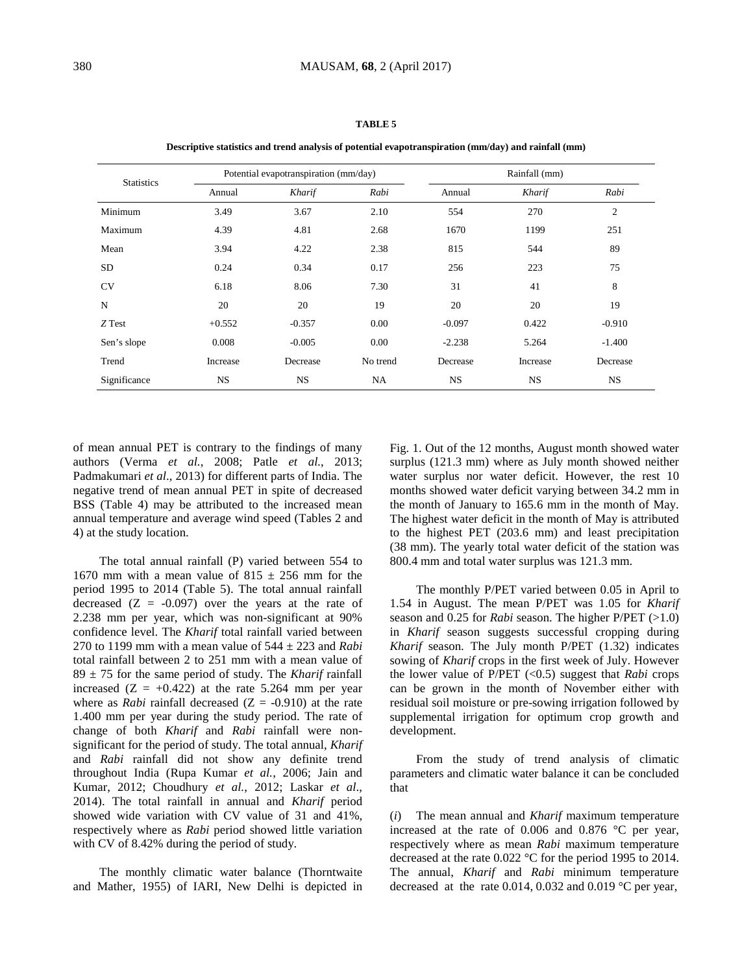|                   |          | Potential evapotranspiration (mm/day) |           | Rainfall (mm) |           |                |  |
|-------------------|----------|---------------------------------------|-----------|---------------|-----------|----------------|--|
| <b>Statistics</b> | Annual   | Kharif                                | Rabi      | Annual        | Kharif    | Rabi           |  |
| Minimum           | 3.49     | 3.67                                  | 2.10      | 554           | 270       | $\overline{2}$ |  |
| Maximum           | 4.39     | 4.81                                  | 2.68      | 1670          | 1199      | 251            |  |
| Mean              | 3.94     | 4.22                                  | 2.38      | 815           | 544       | 89             |  |
| <b>SD</b>         | 0.24     | 0.34                                  | 0.17      | 256           | 223       | 75             |  |
| <b>CV</b>         | 6.18     | 8.06                                  | 7.30      | 31            | 41        | 8              |  |
| N                 | 20       | 20                                    | 19        | 20            | 20        | 19             |  |
| Z Test            | $+0.552$ | $-0.357$                              | 0.00      | $-0.097$      | 0.422     | $-0.910$       |  |
| Sen's slope       | 0.008    | $-0.005$                              | 0.00      | $-2.238$      | 5.264     | $-1.400$       |  |
| Trend             | Increase | Decrease                              | No trend  | Decrease      | Increase  | Decrease       |  |
| Significance      | NS.      | <b>NS</b>                             | <b>NA</b> | <b>NS</b>     | <b>NS</b> | NS.            |  |

**TABLE 5**

**Descriptive statistics and trend analysis of potential evapotranspiration (mm/day) and rainfall (mm)**

of mean annual PET is contrary to the findings of many authors (Verma *et al.*, 2008; Patle *et al.*, 2013; Padmakumari *et al*., 2013) for different parts of India. The negative trend of mean annual PET in spite of decreased BSS (Table 4) may be attributed to the increased mean annual temperature and average wind speed (Tables 2 and 4) at the study location.

The total annual rainfall (P) varied between 554 to 1670 mm with a mean value of  $815 \pm 256$  mm for the period 1995 to 2014 (Table 5). The total annual rainfall decreased  $(Z = -0.097)$  over the years at the rate of 2.238 mm per year, which was non-significant at 90% confidence level. The *Kharif* total rainfall varied between 270 to 1199 mm with a mean value of 544 ± 223 and *Rabi* total rainfall between 2 to 251 mm with a mean value of  $89 \pm 75$  for the same period of study. The *Kharif* rainfall increased  $(Z = +0.422)$  at the rate 5.264 mm per year where as *Rabi* rainfall decreased  $(Z = -0.910)$  at the rate 1.400 mm per year during the study period. The rate of change of both *Kharif* and *Rabi* rainfall were nonsignificant for the period of study. The total annual, *Kharif* and *Rabi* rainfall did not show any definite trend throughout India (Rupa Kumar *et al.*, 2006; Jain and Kumar, 2012; Choudhury *et al.*, 2012; Laskar *et al*., 2014). The total rainfall in annual and *Kharif* period showed wide variation with CV value of 31 and 41%, respectively where as *Rabi* period showed little variation with CV of 8.42% during the period of study.

The monthly climatic water balance (Thorntwaite and Mather, 1955) of IARI, New Delhi is depicted in Fig. 1. Out of the 12 months, August month showed water surplus (121.3 mm) where as July month showed neither water surplus nor water deficit. However, the rest 10 months showed water deficit varying between 34.2 mm in the month of January to 165.6 mm in the month of May. The highest water deficit in the month of May is attributed to the highest PET (203.6 mm) and least precipitation (38 mm). The yearly total water deficit of the station was 800.4 mm and total water surplus was 121.3 mm.

The monthly P/PET varied between 0.05 in April to 1.54 in August. The mean P/PET was 1.05 for *Kharif* season and 0.25 for *Rabi* season. The higher P/PET (>1.0) in *Kharif* season suggests successful cropping during *Kharif* season. The July month P/PET (1.32) indicates sowing of *Kharif* crops in the first week of July. However the lower value of P/PET (<0.5) suggest that *Rabi* crops can be grown in the month of November either with residual soil moisture or pre-sowing irrigation followed by supplemental irrigation for optimum crop growth and development.

From the study of trend analysis of climatic parameters and climatic water balance it can be concluded that

(*i*) The mean annual and *Kharif* maximum temperature increased at the rate of 0.006 and 0.876 °C per year, respectively where as mean *Rabi* maximum temperature decreased at the rate 0.022 °C for the period 1995 to 2014. The annual, *Kharif* and *Rabi* minimum temperature decreased at the rate 0.014, 0.032 and 0.019 °C per year,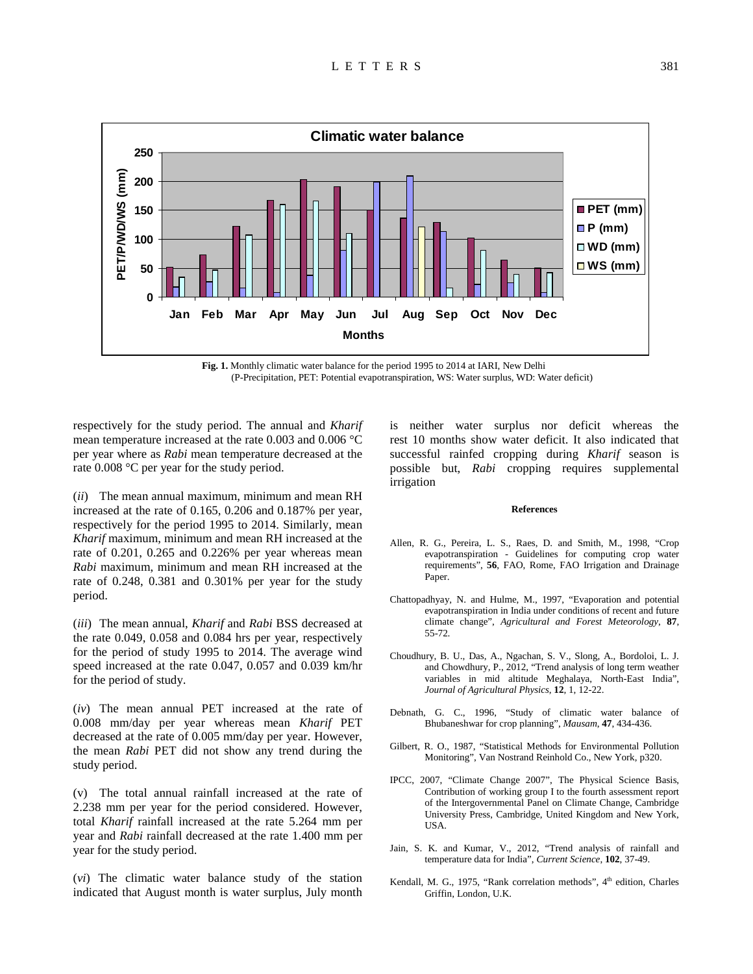

**Fig. 1.** Monthly climatic water balance for the period 1995 to 2014 at IARI, New Delhi (P-Precipitation, PET: Potential evapotranspiration, WS: Water surplus, WD: Water deficit)

respectively for the study period. The annual and *Kharif* mean temperature increased at the rate 0.003 and 0.006 °C per year where as *Rabi* mean temperature decreased at the rate 0.008 °C per year for the study period.

(*ii*) The mean annual maximum, minimum and mean RH increased at the rate of 0.165, 0.206 and 0.187% per year, respectively for the period 1995 to 2014. Similarly, mean *Kharif* maximum, minimum and mean RH increased at the rate of 0.201, 0.265 and 0.226% per year whereas mean *Rabi* maximum, minimum and mean RH increased at the rate of 0.248, 0.381 and 0.301% per year for the study period.

(*iii*) The mean annual, *Kharif* and *Rabi* BSS decreased at the rate 0.049, 0.058 and 0.084 hrs per year, respectively for the period of study 1995 to 2014. The average wind speed increased at the rate 0.047, 0.057 and 0.039 km/hr for the period of study.

(*iv*) The mean annual PET increased at the rate of 0.008 mm/day per year whereas mean *Kharif* PET decreased at the rate of 0.005 mm/day per year. However, the mean *Rabi* PET did not show any trend during the study period.

(v) The total annual rainfall increased at the rate of 2.238 mm per year for the period considered. However, total *Kharif* rainfall increased at the rate 5.264 mm per year and *Rabi* rainfall decreased at the rate 1.400 mm per year for the study period.

(*vi*) The climatic water balance study of the station indicated that August month is water surplus, July month

is neither water surplus nor deficit whereas the rest 10 months show water deficit. It also indicated that successful rainfed cropping during *Kharif* season is possible but, *Rabi* cropping requires supplemental irrigation

#### **References**

- Allen, R. G., Pereira, L. S., Raes, D. and Smith, M., 1998, "Crop evapotranspiration - Guidelines for computing crop water requirements", **56**, FAO, Rome, FAO Irrigation and Drainage Paper.
- Chattopadhyay, N. and Hulme, M., 1997, "Evaporation and potential evapotranspiration in India under conditions of recent and future climate change", *Agricultural and Forest Meteorology*, **87**, 55-72.
- Choudhury, B. U., Das, A., Ngachan, S. V., Slong, A., Bordoloi, L. J. and Chowdhury, P., 2012, "Trend analysis of long term weather variables in mid altitude Meghalaya, North-East India", *Journal of Agricultural Physics*, **12**, 1, 12-22.
- Debnath, G. C., 1996, "Study of climatic water balance of Bhubaneshwar for crop planning", *Mausam*, **47**, 434-436.
- Gilbert, R. O., 1987, "Statistical Methods for Environmental Pollution Monitoring", Van Nostrand Reinhold Co., New York, p320.
- IPCC, 2007, "Climate Change 2007", The Physical Science Basis, Contribution of working group I to the fourth assessment report of the Intergovernmental Panel on Climate Change, Cambridge University Press, Cambridge, United Kingdom and New York, USA.
- Jain, S. K. and Kumar, V., 2012, "Trend analysis of rainfall and temperature data for India", *Current Science*, **102**, 37-49.
- Kendall, M. G., 1975, "Rank correlation methods", 4<sup>th</sup> edition, Charles Griffin, London, U.K.